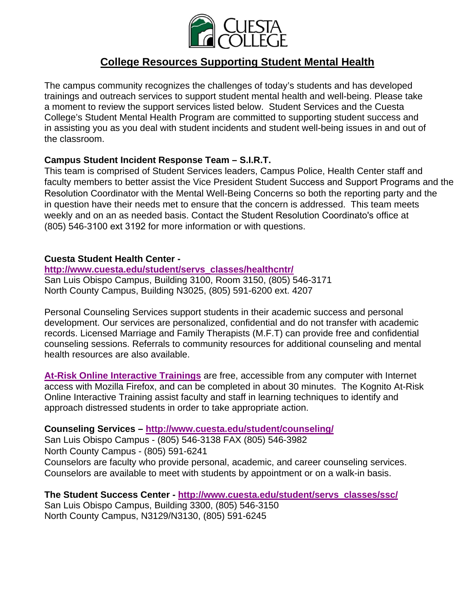

# **College Resources Supporting Student Mental Health**

The campus community recognizes the challenges of today's students and has developed trainings and outreach services to support student mental health and well-being. Please take a moment to review the support services listed below. Student Services and the Cuesta College's Student Mental Health Program are committed to supporting student success and in assisting you as you deal with student incidents and student well-being issues in and out of the classroom.

### **Campus Student Incident Response Team – S.I.R.T.**

This team is comprised of Student Services leaders, Campus Police, Health Center staff and faculty members to better assist the Vice President Student Success and Support Programs and the Resolution Resolution Coordinator with the Mental Well-Being Concerns so both the reporting party and the in question have their needs met to ensure that the concern is addressed. This team meets weekly and on an as needed basis. Contact the Student Resolution Coordinato's office at (805) 546-3100 ext 3192 for more information or with questions.

#### **Cuesta Student Health Center -**

#### **http://www.cuesta.edu/student/servs\_classes/healthcntr/**

San Luis Obispo Campus, Building 3100, Room 3150, (805) 546-3171 North County Campus, Building N3025, (805) 591-6200 ext. 4207

Personal Counseling Services support students in their academic success and personal development. Our services are personalized, confidential and do not transfer with academic records. Licensed Marriage and Family Therapists (M.F.T) can provide free and confidential counseling sessions. Referrals to community resources for additional counseling and mental health resources are also available.

**At-Risk Online Interactive Trainings** are free, accessible from any computer with Internet access with Mozilla Firefox, and can be completed in about 30 minutes. The Kognito At-Risk Online Interactive Training assist faculty and staff in learning techniques to identify and approach distressed students in order to take appropriate action.

#### **Counseling Services – http://www.cuesta.edu/student/counseling/**

San Luis Obispo Campus - (805) 546-3138 FAX (805) 546-3982 North County Campus - (805) 591-6241 Counselors are faculty who provide personal, academic, and career counseling services. Counselors are available to meet with students by appointment or on a walk-in basis.

**The Student Success Center - http://www.cuesta.edu/student/servs\_classes/ssc/**  San Luis Obispo Campus, Building 3300, (805) 546-3150 North County Campus, N3129/N3130, (805) 591-6245